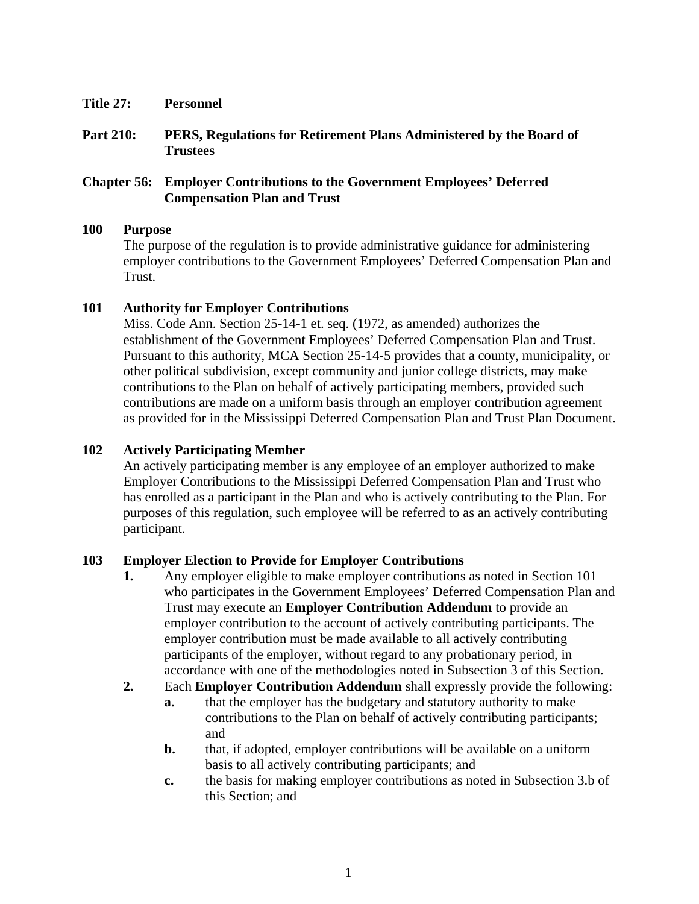- **Title 27: Personnel**
- **Part 210: PERS, Regulations for Retirement Plans Administered by the Board of Trustees**

### **Chapter 56: Employer Contributions to the Government Employees' Deferred Compensation Plan and Trust**

#### **100 Purpose**

The purpose of the regulation is to provide administrative guidance for administering employer contributions to the Government Employees' Deferred Compensation Plan and Trust.

### **101 Authority for Employer Contributions**

Miss. Code Ann. Section 25-14-1 et. seq. (1972, as amended) authorizes the establishment of the Government Employees' Deferred Compensation Plan and Trust. Pursuant to this authority, MCA Section 25-14-5 provides that a county, municipality, or other political subdivision, except community and junior college districts, may make contributions to the Plan on behalf of actively participating members, provided such contributions are made on a uniform basis through an employer contribution agreement as provided for in the Mississippi Deferred Compensation Plan and Trust Plan Document.

### **102 Actively Participating Member**

An actively participating member is any employee of an employer authorized to make Employer Contributions to the Mississippi Deferred Compensation Plan and Trust who has enrolled as a participant in the Plan and who is actively contributing to the Plan. For purposes of this regulation, such employee will be referred to as an actively contributing participant.

## **103 Employer Election to Provide for Employer Contributions**

- **1.** Any employer eligible to make employer contributions as noted in Section 101 who participates in the Government Employees' Deferred Compensation Plan and Trust may execute an **Employer Contribution Addendum** to provide an employer contribution to the account of actively contributing participants. The employer contribution must be made available to all actively contributing participants of the employer, without regard to any probationary period, in accordance with one of the methodologies noted in Subsection 3 of this Section.
- **2.** Each **Employer Contribution Addendum** shall expressly provide the following:
	- **a.** that the employer has the budgetary and statutory authority to make contributions to the Plan on behalf of actively contributing participants; and
	- **b.** that, if adopted, employer contributions will be available on a uniform basis to all actively contributing participants; and
	- **c.** the basis for making employer contributions as noted in Subsection 3.b of this Section; and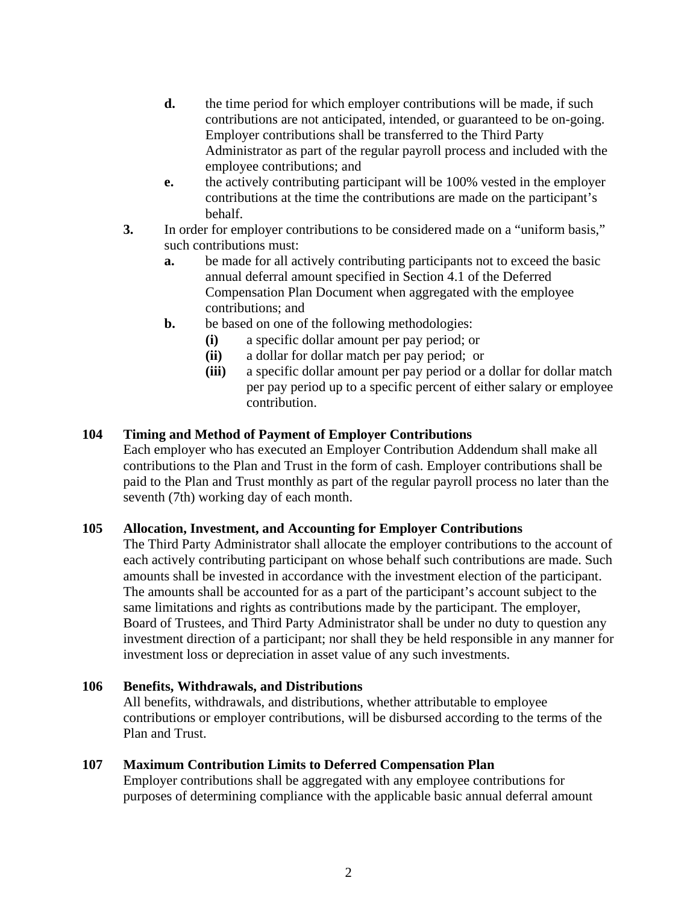- **d.** the time period for which employer contributions will be made, if such contributions are not anticipated, intended, or guaranteed to be on-going. Employer contributions shall be transferred to the Third Party Administrator as part of the regular payroll process and included with the employee contributions; and
- **e.** the actively contributing participant will be 100% vested in the employer contributions at the time the contributions are made on the participant's behalf.
- **3.** In order for employer contributions to be considered made on a "uniform basis," such contributions must:
	- **a.** be made for all actively contributing participants not to exceed the basic annual deferral amount specified in Section 4.1 of the Deferred Compensation Plan Document when aggregated with the employee contributions; and
	- **b.** be based on one of the following methodologies:
		- **(i)** a specific dollar amount per pay period; or
		- **(ii)** a dollar for dollar match per pay period; or
		- **(iii)** a specific dollar amount per pay period or a dollar for dollar match per pay period up to a specific percent of either salary or employee contribution.

### **104 Timing and Method of Payment of Employer Contributions**

Each employer who has executed an Employer Contribution Addendum shall make all contributions to the Plan and Trust in the form of cash. Employer contributions shall be paid to the Plan and Trust monthly as part of the regular payroll process no later than the seventh (7th) working day of each month.

### **105 Allocation, Investment, and Accounting for Employer Contributions**

The Third Party Administrator shall allocate the employer contributions to the account of each actively contributing participant on whose behalf such contributions are made. Such amounts shall be invested in accordance with the investment election of the participant. The amounts shall be accounted for as a part of the participant's account subject to the same limitations and rights as contributions made by the participant. The employer, Board of Trustees, and Third Party Administrator shall be under no duty to question any investment direction of a participant; nor shall they be held responsible in any manner for investment loss or depreciation in asset value of any such investments.

### **106 Benefits, Withdrawals, and Distributions**

All benefits, withdrawals, and distributions, whether attributable to employee contributions or employer contributions, will be disbursed according to the terms of the Plan and Trust.

### **107 Maximum Contribution Limits to Deferred Compensation Plan**

Employer contributions shall be aggregated with any employee contributions for purposes of determining compliance with the applicable basic annual deferral amount